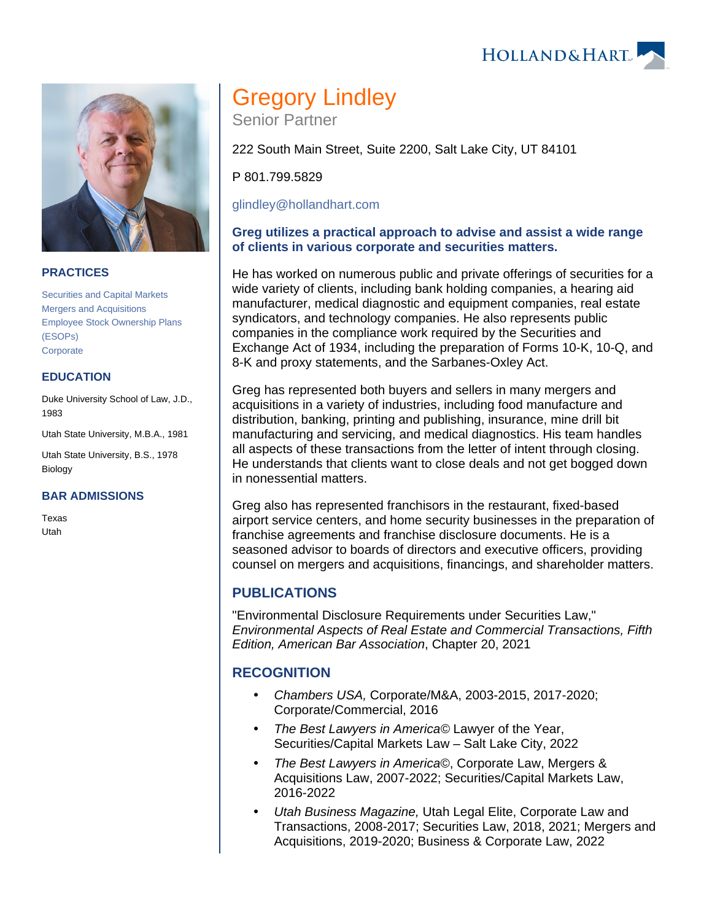#### **PRACTICES**

[Securities and Capital Markets](https://www.hollandhart.com/19739) [Mergers and Acquisitions](https://www.hollandhart.com/19748) [Employee Stock Ownership Plans](https://www.hollandhart.com/19697)  [\(ESOPs\)](https://www.hollandhart.com/19697) **[Corporate](https://www.hollandhart.com/19668)** 

#### **EDUCATION**

Duke University School of Law, J.D., 1983

Utah State University, M.B.A., 1981

Utah State University, B.S., 1978 Biology

#### **BAR ADMISSIONS**

Texas Utah

# Gregory Lindley

Senior Partner

222 South Main Street, Suite 2200, Salt Lake City, UT 84101

P 801.799.5829

[glindley@hollandhart.com](mailto:glindley@hollandhart.com)

#### **Greg utilizes a practical approach to advise and assist a wide range of clients in various corporate and securities matters.**

He has worked on numerous public and private offerings of securities for a wide variety of clients, including bank holding companies, a hearing aid manufacturer, medical diagnostic and equipment companies, real estate syndicators, and technology companies. He also represents public companies in the compliance work required by the Securities and Exchange Act of 1934, including the preparation of Forms 10-K, 10-Q, and 8-K and proxy statements, and the Sarbanes-Oxley Act.

Greg has represented both buyers and sellers in many mergers and acquisitions in a variety of industries, including food manufacture and distribution, banking, printing and publishing, insurance, mine drill bit manufacturing and servicing, and medical diagnostics. His team handles all aspects of these transactions from the letter of intent through closing. He understands that clients want to close deals and not get bogged down in nonessential matters.

Greg also has represented franchisors in the restaurant, fixed-based airport service centers, and home security businesses in the preparation of franchise agreements and franchise disclosure documents. He is a seasoned advisor to boards of directors and executive officers, providing counsel on mergers and acquisitions, financings, and shareholder matters.

## **PUBLICATIONS**

"Environmental Disclosure Requirements under Securities Law," Environmental Aspects of Real Estate and Commercial Transactions, Fifth Edition, American Bar Association, Chapter 20, 2021

## **RECOGNITION**

- Chambers USA, Corporate/M&A, 2003-2015, 2017-2020; Corporate/Commercial, 2016
- The Best Lawyers in America© Lawyer of the Year, Securities/Capital Markets Law – Salt Lake City, 2022
- The Best Lawyers in America©, Corporate Law, Mergers & Acquisitions Law, 2007-2022; Securities/Capital Markets Law, 2016-2022
- Utah Business Magazine, Utah Legal Elite, Corporate Law and Transactions, 2008-2017; Securities Law, 2018, 2021; Mergers and Acquisitions, 2019-2020; Business & Corporate Law, 2022